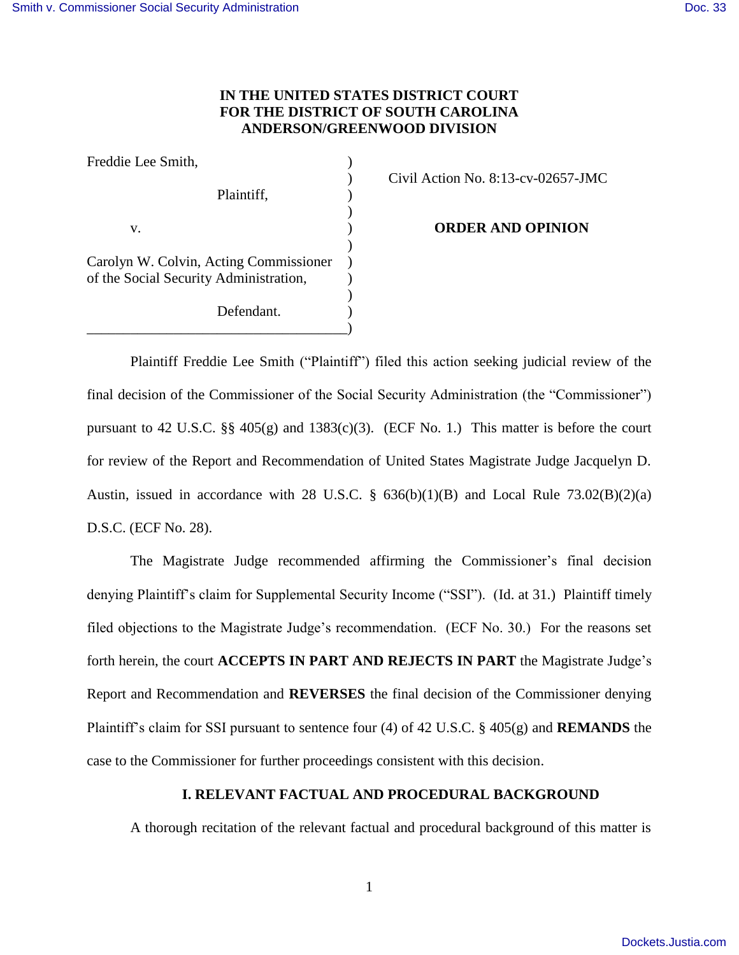# **IN THE UNITED STATES DISTRICT COURT FOR THE DISTRICT OF SOUTH CAROLINA ANDERSON/GREENWOOD DIVISION**

| Freddie Lee Smith,                     |  |
|----------------------------------------|--|
|                                        |  |
| Plaintiff,                             |  |
|                                        |  |
| V.                                     |  |
|                                        |  |
| Carolyn W. Colvin, Acting Commissioner |  |
| of the Social Security Administration, |  |
|                                        |  |
| Defendant.                             |  |
|                                        |  |

) Civil Action No. 8:13-cv-02657-JMC

**ORDER AND OPINION** 

 Plaintiff Freddie Lee Smith ("Plaintiff") filed this action seeking judicial review of the final decision of the Commissioner of the Social Security Administration (the "Commissioner") pursuant to 42 U.S.C.  $\S\S 405(g)$  and 1383(c)(3). (ECF No. 1.) This matter is before the court for review of the Report and Recommendation of United States Magistrate Judge Jacquelyn D. Austin, issued in accordance with 28 U.S.C.  $\S$  636(b)(1)(B) and Local Rule 73.02(B)(2)(a) D.S.C. (ECF No. 28).

 The Magistrate Judge recommended affirming the Commissioner's final decision denying Plaintiff's claim for Supplemental Security Income ("SSI"). (Id. at 31.) Plaintiff timely filed objections to the Magistrate Judge's recommendation. (ECF No. 30.) For the reasons set forth herein, the court **ACCEPTS IN PART AND REJECTS IN PART** the Magistrate Judge's Report and Recommendation and **REVERSES** the final decision of the Commissioner denying Plaintiff's claim for SSI pursuant to sentence four (4) of 42 U.S.C. § 405(g) and **REMANDS** the case to the Commissioner for further proceedings consistent with this decision.

## **I. RELEVANT FACTUAL AND PROCEDURAL BACKGROUND**

A thorough recitation of the relevant factual and procedural background of this matter is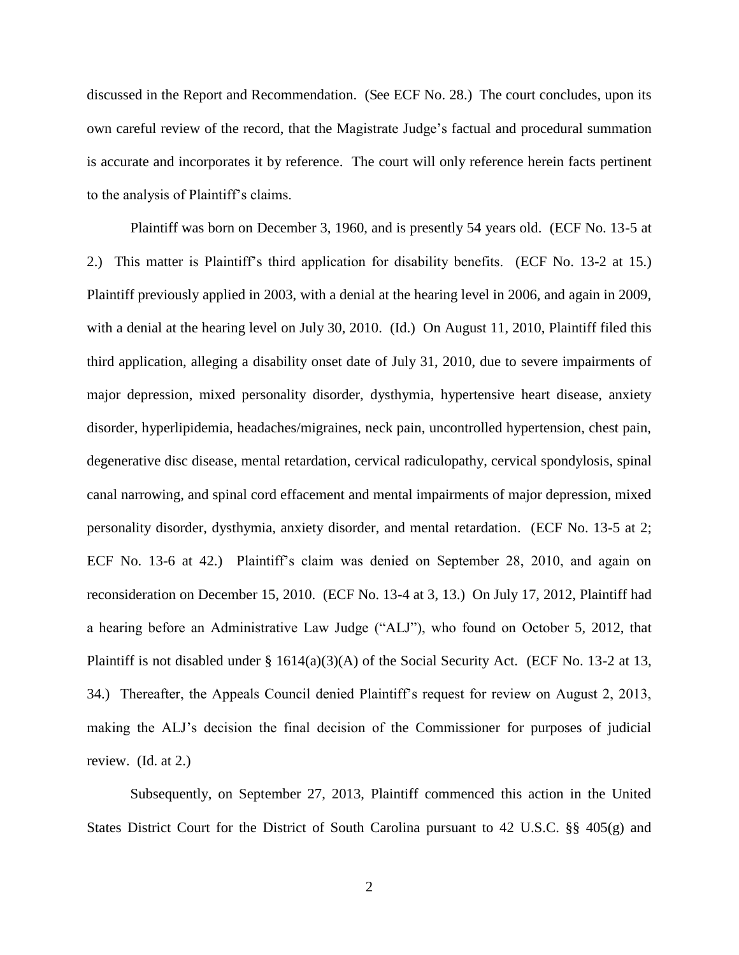discussed in the Report and Recommendation. (See ECF No. 28.) The court concludes, upon its own careful review of the record, that the Magistrate Judge's factual and procedural summation is accurate and incorporates it by reference. The court will only reference herein facts pertinent to the analysis of Plaintiff's claims.

Plaintiff was born on December 3, 1960, and is presently 54 years old. (ECF No. 13-5 at 2.) This matter is Plaintiff's third application for disability benefits. (ECF No. 13-2 at 15.) Plaintiff previously applied in 2003, with a denial at the hearing level in 2006, and again in 2009, with a denial at the hearing level on July 30, 2010. (Id.) On August 11, 2010, Plaintiff filed this third application, alleging a disability onset date of July 31, 2010, due to severe impairments of major depression, mixed personality disorder, dysthymia, hypertensive heart disease, anxiety disorder, hyperlipidemia, headaches/migraines, neck pain, uncontrolled hypertension, chest pain, degenerative disc disease, mental retardation, cervical radiculopathy, cervical spondylosis, spinal canal narrowing, and spinal cord effacement and mental impairments of major depression, mixed personality disorder, dysthymia, anxiety disorder, and mental retardation. (ECF No. 13-5 at 2; ECF No. 13-6 at 42.) Plaintiff's claim was denied on September 28, 2010, and again on reconsideration on December 15, 2010. (ECF No. 13-4 at 3, 13.) On July 17, 2012, Plaintiff had a hearing before an Administrative Law Judge ("ALJ"), who found on October 5, 2012, that Plaintiff is not disabled under § 1614(a)(3)(A) of the Social Security Act. (ECF No. 13-2 at 13, 34.) Thereafter, the Appeals Council denied Plaintiff's request for review on August 2, 2013, making the ALJ's decision the final decision of the Commissioner for purposes of judicial review. (Id. at 2.)

 Subsequently, on September 27, 2013, Plaintiff commenced this action in the United States District Court for the District of South Carolina pursuant to 42 U.S.C. §§ 405(g) and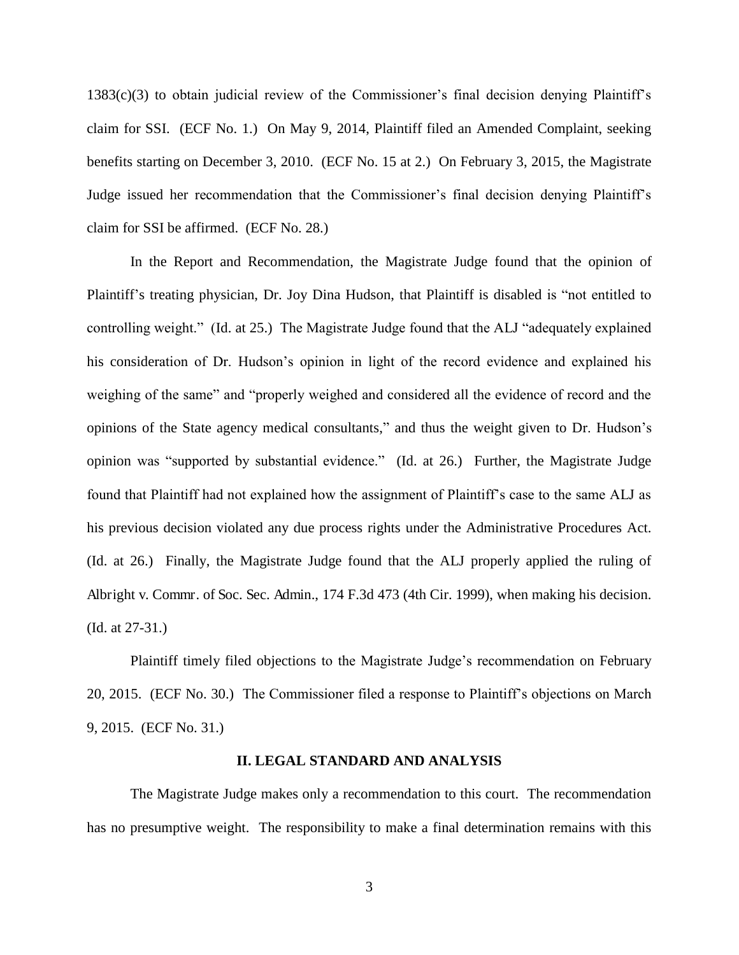1383(c)(3) to obtain judicial review of the Commissioner's final decision denying Plaintiff's claim for SSI. (ECF No. 1.) On May 9, 2014, Plaintiff filed an Amended Complaint, seeking benefits starting on December 3, 2010. (ECF No. 15 at 2.) On February 3, 2015, the Magistrate Judge issued her recommendation that the Commissioner's final decision denying Plaintiff's claim for SSI be affirmed. (ECF No. 28.)

 In the Report and Recommendation, the Magistrate Judge found that the opinion of Plaintiff's treating physician, Dr. Joy Dina Hudson, that Plaintiff is disabled is "not entitled to controlling weight." (Id. at 25.) The Magistrate Judge found that the ALJ "adequately explained his consideration of Dr. Hudson's opinion in light of the record evidence and explained his weighing of the same" and "properly weighed and considered all the evidence of record and the opinions of the State agency medical consultants," and thus the weight given to Dr. Hudson's opinion was "supported by substantial evidence." (Id. at 26.) Further, the Magistrate Judge found that Plaintiff had not explained how the assignment of Plaintiff's case to the same ALJ as his previous decision violated any due process rights under the Administrative Procedures Act. (Id. at 26.) Finally, the Magistrate Judge found that the ALJ properly applied the ruling of Albright v. Commr. of Soc. Sec. Admin., 174 F.3d 473 (4th Cir. 1999), when making his decision. (Id. at 27-31.)

 Plaintiff timely filed objections to the Magistrate Judge's recommendation on February 20, 2015. (ECF No. 30.) The Commissioner filed a response to Plaintiff's objections on March 9, 2015. (ECF No. 31.)

#### **II. LEGAL STANDARD AND ANALYSIS**

The Magistrate Judge makes only a recommendation to this court. The recommendation has no presumptive weight. The responsibility to make a final determination remains with this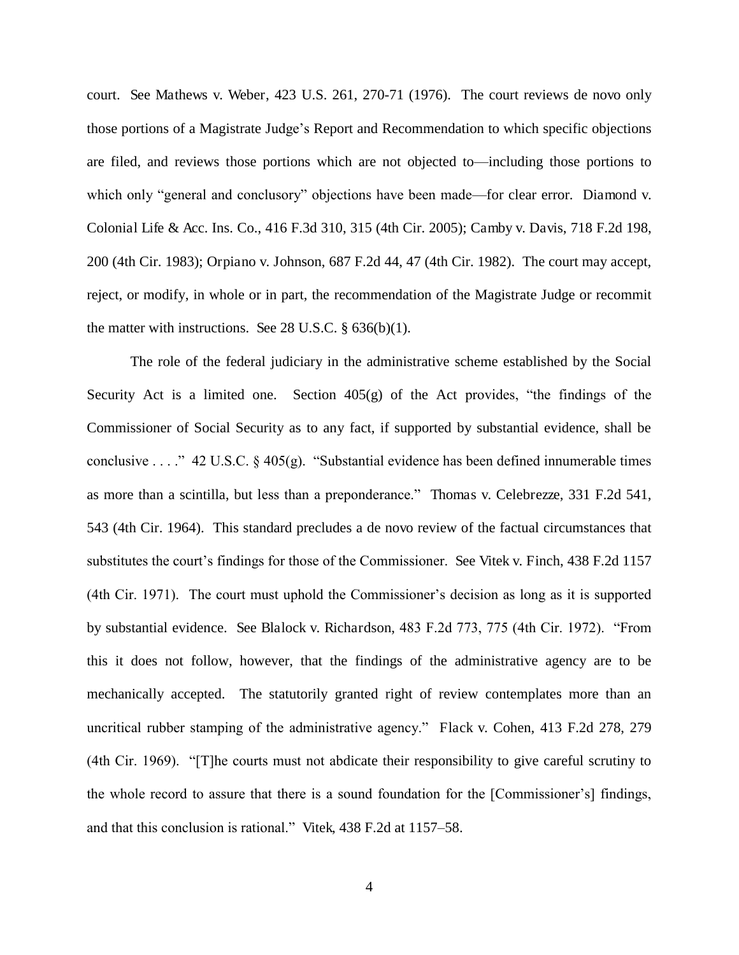court. See Mathews v. Weber, 423 U.S. 261, 270-71 (1976). The court reviews de novo only those portions of a Magistrate Judge's Report and Recommendation to which specific objections are filed, and reviews those portions which are not objected to—including those portions to which only "general and conclusory" objections have been made—for clear error. Diamond v. Colonial Life & Acc. Ins. Co., 416 F.3d 310, 315 (4th Cir. 2005); Camby v. Davis, 718 F.2d 198, 200 (4th Cir. 1983); Orpiano v. Johnson, 687 F.2d 44, 47 (4th Cir. 1982). The court may accept, reject, or modify, in whole or in part, the recommendation of the Magistrate Judge or recommit the matter with instructions. See 28 U.S.C. § 636(b)(1).

The role of the federal judiciary in the administrative scheme established by the Social Security Act is a limited one. Section  $405(g)$  of the Act provides, "the findings of the Commissioner of Social Security as to any fact, if supported by substantial evidence, shall be conclusive . . . ." 42 U.S.C. § 405(g). "Substantial evidence has been defined innumerable times as more than a scintilla, but less than a preponderance." Thomas v. Celebrezze, 331 F.2d 541, 543 (4th Cir. 1964). This standard precludes a de novo review of the factual circumstances that substitutes the court's findings for those of the Commissioner. See Vitek v. Finch, 438 F.2d 1157 (4th Cir. 1971). The court must uphold the Commissioner's decision as long as it is supported by substantial evidence. See Blalock v. Richardson, 483 F.2d 773, 775 (4th Cir. 1972). "From this it does not follow, however, that the findings of the administrative agency are to be mechanically accepted. The statutorily granted right of review contemplates more than an uncritical rubber stamping of the administrative agency." Flack v. Cohen, 413 F.2d 278, 279 (4th Cir. 1969). "[T]he courts must not abdicate their responsibility to give careful scrutiny to the whole record to assure that there is a sound foundation for the [Commissioner's] findings, and that this conclusion is rational." Vitek, 438 F.2d at 1157–58.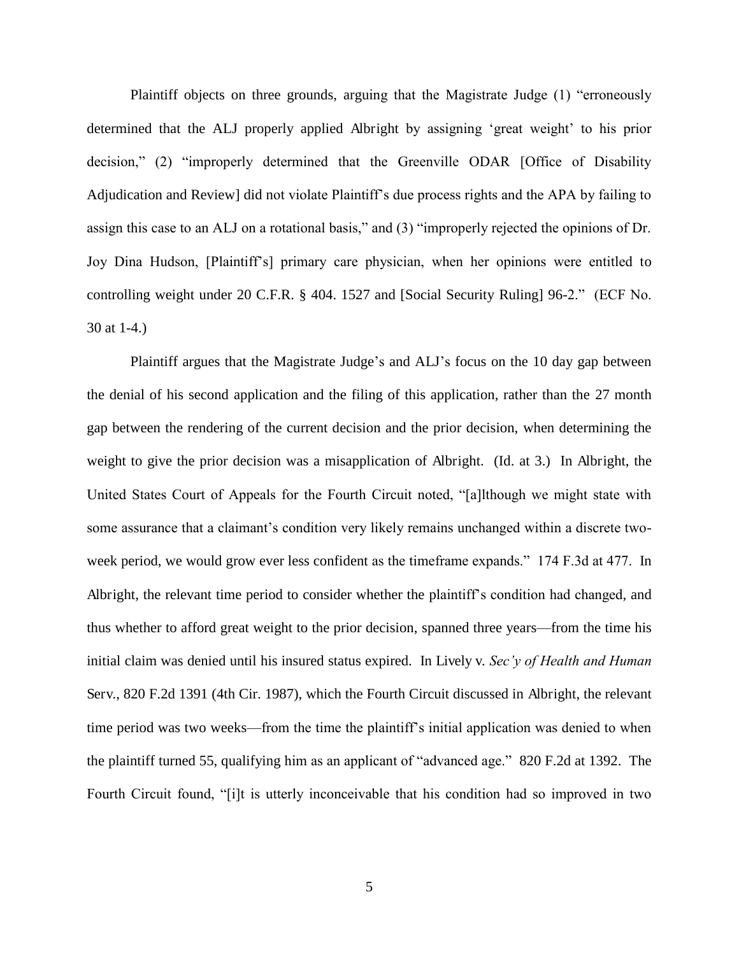Plaintiff objects on three grounds, arguing that the Magistrate Judge (1) "erroneously determined that the ALJ properly applied Albright by assigning 'great weight' to his prior decision," (2) "improperly determined that the Greenville ODAR [Office of Disability Adjudication and Review] did not violate Plaintiff's due process rights and the APA by failing to assign this case to an ALJ on a rotational basis," and (3) "improperly rejected the opinions of Dr. Joy Dina Hudson, [Plaintiff's] primary care physician, when her opinions were entitled to controlling weight under 20 C.F.R. § 404. 1527 and [Social Security Ruling] 96-2." (ECF No. 30 at 1-4.)

Plaintiff argues that the Magistrate Judge's and ALJ's focus on the 10 day gap between the denial of his second application and the filing of this application, rather than the 27 month gap between the rendering of the current decision and the prior decision, when determining the weight to give the prior decision was a misapplication of Albright. (Id. at 3.) In Albright, the United States Court of Appeals for the Fourth Circuit noted, "[a]lthough we might state with some assurance that a claimant's condition very likely remains unchanged within a discrete twoweek period, we would grow ever less confident as the timeframe expands." 174 F.3d at 477. In Albright, the relevant time period to consider whether the plaintiff's condition had changed, and thus whether to afford great weight to the prior decision, spanned three years—from the time his initial claim was denied until his insured status expired. In Lively v. *Sec'y of Health and Human*  Serv., 820 F.2d 1391 (4th Cir. 1987), which the Fourth Circuit discussed in Albright, the relevant time period was two weeks—from the time the plaintiff's initial application was denied to when the plaintiff turned 55, qualifying him as an applicant of "advanced age." 820 F.2d at 1392. The Fourth Circuit found, "[i]t is utterly inconceivable that his condition had so improved in two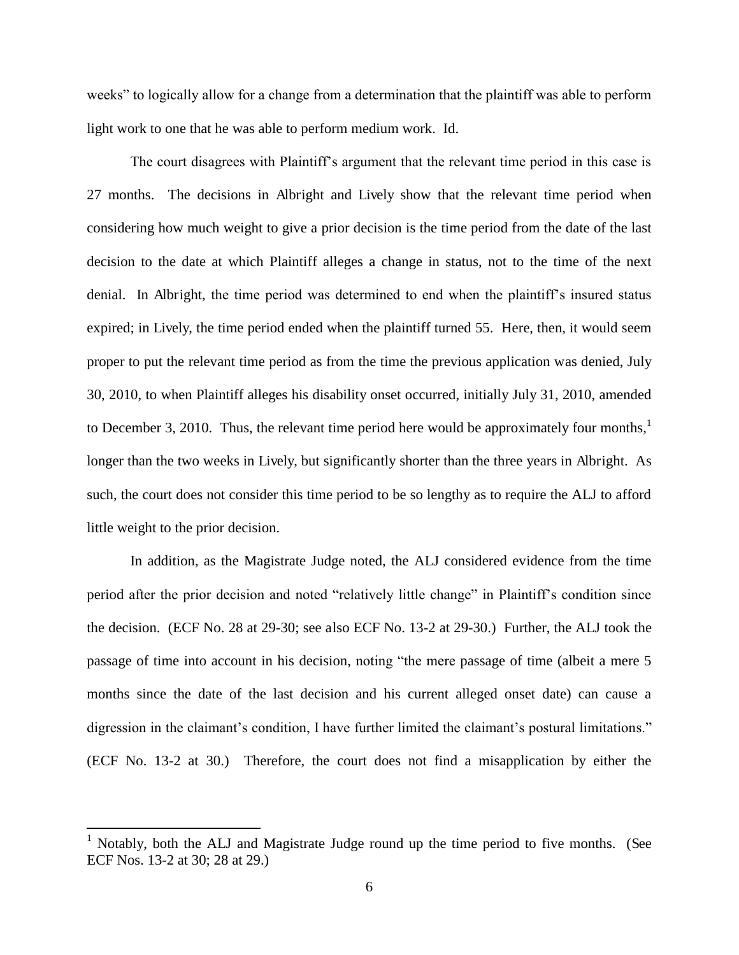weeks" to logically allow for a change from a determination that the plaintiff was able to perform light work to one that he was able to perform medium work. Id.

The court disagrees with Plaintiff's argument that the relevant time period in this case is 27 months. The decisions in Albright and Lively show that the relevant time period when considering how much weight to give a prior decision is the time period from the date of the last decision to the date at which Plaintiff alleges a change in status, not to the time of the next denial. In Albright, the time period was determined to end when the plaintiff's insured status expired; in Lively, the time period ended when the plaintiff turned 55. Here, then, it would seem proper to put the relevant time period as from the time the previous application was denied, July 30, 2010, to when Plaintiff alleges his disability onset occurred, initially July 31, 2010, amended to December 3, 2010. Thus, the relevant time period here would be approximately four months, $\frac{1}{1}$ longer than the two weeks in Lively, but significantly shorter than the three years in Albright. As such, the court does not consider this time period to be so lengthy as to require the ALJ to afford little weight to the prior decision.

In addition, as the Magistrate Judge noted, the ALJ considered evidence from the time period after the prior decision and noted "relatively little change" in Plaintiff's condition since the decision. (ECF No. 28 at 29-30; see also ECF No. 13-2 at 29-30.) Further, the ALJ took the passage of time into account in his decision, noting "the mere passage of time (albeit a mere 5 months since the date of the last decision and his current alleged onset date) can cause a digression in the claimant's condition, I have further limited the claimant's postural limitations." (ECF No. 13-2 at 30.) Therefore, the court does not find a misapplication by either the

 $\overline{a}$ 

<sup>1</sup> Notably, both the ALJ and Magistrate Judge round up the time period to five months. (See ECF Nos. 13-2 at 30; 28 at 29.)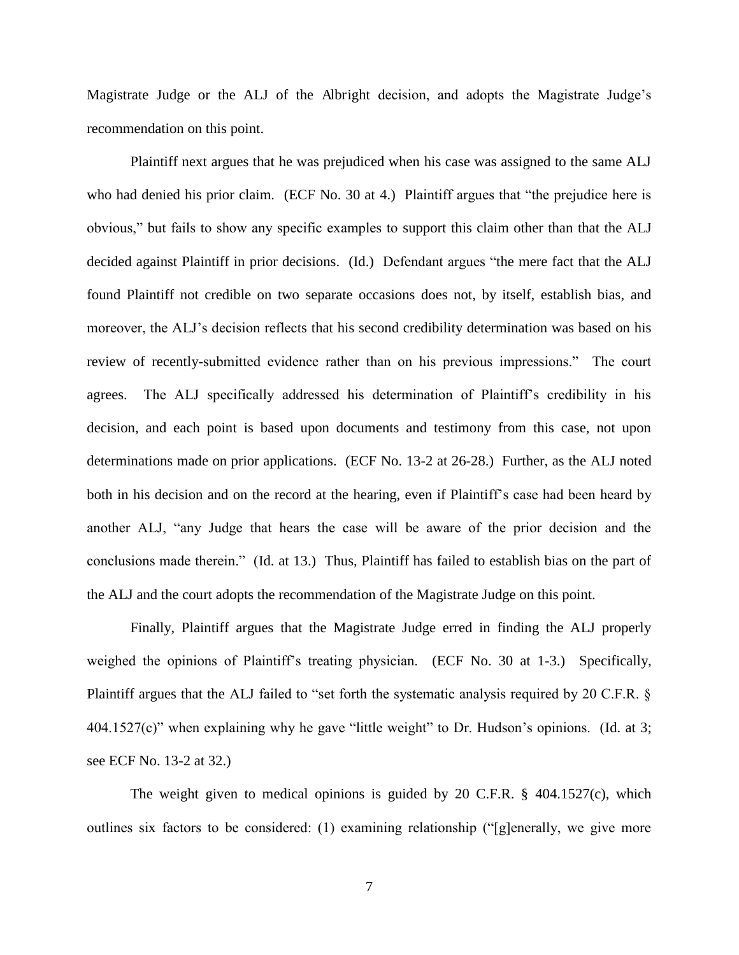Magistrate Judge or the ALJ of the Albright decision, and adopts the Magistrate Judge's recommendation on this point.

Plaintiff next argues that he was prejudiced when his case was assigned to the same ALJ who had denied his prior claim. (ECF No. 30 at 4.) Plaintiff argues that "the prejudice here is obvious," but fails to show any specific examples to support this claim other than that the ALJ decided against Plaintiff in prior decisions. (Id.) Defendant argues "the mere fact that the ALJ found Plaintiff not credible on two separate occasions does not, by itself, establish bias, and moreover, the ALJ's decision reflects that his second credibility determination was based on his review of recently-submitted evidence rather than on his previous impressions." The court agrees. The ALJ specifically addressed his determination of Plaintiff's credibility in his decision, and each point is based upon documents and testimony from this case, not upon determinations made on prior applications. (ECF No. 13-2 at 26-28.) Further, as the ALJ noted both in his decision and on the record at the hearing, even if Plaintiff's case had been heard by another ALJ, "any Judge that hears the case will be aware of the prior decision and the conclusions made therein." (Id. at 13.) Thus, Plaintiff has failed to establish bias on the part of the ALJ and the court adopts the recommendation of the Magistrate Judge on this point.

Finally, Plaintiff argues that the Magistrate Judge erred in finding the ALJ properly weighed the opinions of Plaintiff's treating physician. (ECF No. 30 at 1-3.) Specifically, Plaintiff argues that the ALJ failed to "set forth the systematic analysis required by 20 C.F.R. § 404.1527(c)" when explaining why he gave "little weight" to Dr. Hudson's opinions. (Id. at 3; see ECF No. 13-2 at 32.)

The weight given to medical opinions is guided by 20 C.F.R. § 404.1527(c), which outlines six factors to be considered: (1) examining relationship ("[g]enerally, we give more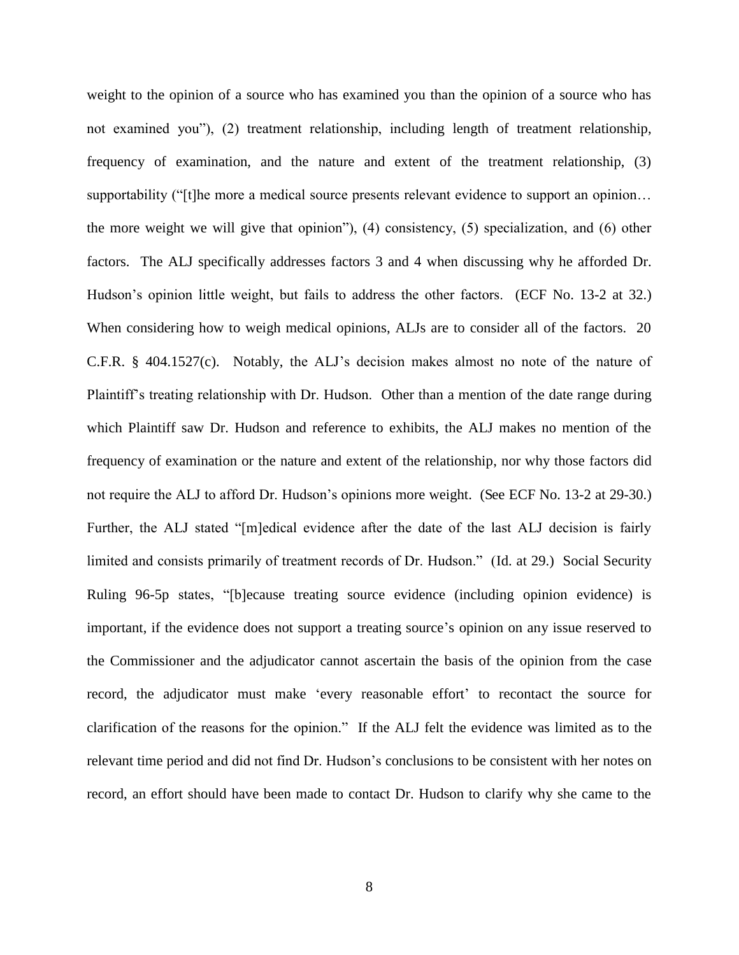weight to the opinion of a source who has examined you than the opinion of a source who has not examined you"), (2) treatment relationship, including length of treatment relationship, frequency of examination, and the nature and extent of the treatment relationship, (3) supportability ("[t]he more a medical source presents relevant evidence to support an opinion... the more weight we will give that opinion"), (4) consistency, (5) specialization, and (6) other factors. The ALJ specifically addresses factors 3 and 4 when discussing why he afforded Dr. Hudson's opinion little weight, but fails to address the other factors. (ECF No. 13-2 at 32.) When considering how to weigh medical opinions, ALJs are to consider all of the factors. 20 C.F.R. § 404.1527(c). Notably, the ALJ's decision makes almost no note of the nature of Plaintiff's treating relationship with Dr. Hudson. Other than a mention of the date range during which Plaintiff saw Dr. Hudson and reference to exhibits, the ALJ makes no mention of the frequency of examination or the nature and extent of the relationship, nor why those factors did not require the ALJ to afford Dr. Hudson's opinions more weight. (See ECF No. 13-2 at 29-30.) Further, the ALJ stated "[m]edical evidence after the date of the last ALJ decision is fairly limited and consists primarily of treatment records of Dr. Hudson." (Id. at 29.) Social Security Ruling 96-5p states, "[b]ecause treating source evidence (including opinion evidence) is important, if the evidence does not support a treating source's opinion on any issue reserved to the Commissioner and the adjudicator cannot ascertain the basis of the opinion from the case record, the adjudicator must make 'every reasonable effort' to recontact the source for clarification of the reasons for the opinion." If the ALJ felt the evidence was limited as to the relevant time period and did not find Dr. Hudson's conclusions to be consistent with her notes on record, an effort should have been made to contact Dr. Hudson to clarify why she came to the